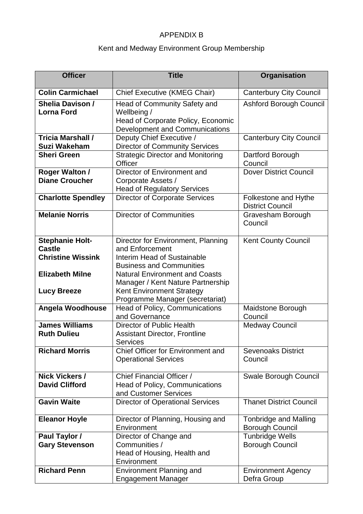## APPENDIX B

## Kent and Medway Environment Group Membership

| <b>Officer</b>                                  | <b>Title</b>                                                                                                               | Organisation                                           |
|-------------------------------------------------|----------------------------------------------------------------------------------------------------------------------------|--------------------------------------------------------|
| <b>Colin Carmichael</b>                         | <b>Chief Executive (KMEG Chair)</b>                                                                                        | <b>Canterbury City Council</b>                         |
| <b>Shelia Davison /</b><br><b>Lorna Ford</b>    | <b>Head of Community Safety and</b><br>Wellbeing /<br>Head of Corporate Policy, Economic<br>Development and Communications | <b>Ashford Borough Council</b>                         |
| <b>Tricia Marshall /</b><br><b>Suzi Wakeham</b> | Deputy Chief Executive /<br><b>Director of Community Services</b>                                                          | <b>Canterbury City Council</b>                         |
| <b>Sheri Green</b>                              | <b>Strategic Director and Monitoring</b><br><b>Officer</b>                                                                 | Dartford Borough<br>Council                            |
| <b>Roger Walton /</b><br><b>Diane Croucher</b>  | Director of Environment and<br>Corporate Assets /<br><b>Head of Regulatory Services</b>                                    | <b>Dover District Council</b>                          |
| <b>Charlotte Spendley</b>                       | <b>Director of Corporate Services</b>                                                                                      | Folkestone and Hythe<br><b>District Council</b>        |
| <b>Melanie Norris</b>                           | <b>Director of Communities</b>                                                                                             | Gravesham Borough<br>Council                           |
| <b>Stephanie Holt-</b><br><b>Castle</b>         | Director for Environment, Planning<br>and Enforcement                                                                      | <b>Kent County Council</b>                             |
| <b>Christine Wissink</b>                        | Interim Head of Sustainable<br><b>Business and Communities</b>                                                             |                                                        |
| <b>Elizabeth Milne</b>                          | <b>Natural Environment and Coasts</b><br>Manager / Kent Nature Partnership                                                 |                                                        |
| <b>Lucy Breeze</b>                              | <b>Kent Environment Strategy</b><br>Programme Manager (secretariat)                                                        |                                                        |
| Angela Woodhouse                                | <b>Head of Policy, Communications</b><br>and Governance                                                                    | Maidstone Borough<br>Council                           |
| <b>James Williams</b><br><b>Ruth Dulieu</b>     | Director of Public Health<br><b>Assistant Director, Frontline</b><br><b>Services</b>                                       | <b>Medway Council</b>                                  |
| <b>Richard Morris</b>                           | Chief Officer for Environment and<br><b>Operational Services</b>                                                           | <b>Sevenoaks District</b><br>Council                   |
| <b>Nick Vickers /</b><br><b>David Clifford</b>  | Chief Financial Officer /<br><b>Head of Policy, Communications</b>                                                         | Swale Borough Council                                  |
|                                                 | and Customer Services                                                                                                      |                                                        |
| <b>Gavin Waite</b>                              | <b>Director of Operational Services</b>                                                                                    | <b>Thanet District Council</b>                         |
| <b>Eleanor Hoyle</b>                            | Director of Planning, Housing and<br>Environment                                                                           | <b>Tonbridge and Malling</b><br><b>Borough Council</b> |
| Paul Taylor /<br><b>Gary Stevenson</b>          | Director of Change and<br>Communities /<br>Head of Housing, Health and<br>Environment                                      | <b>Tunbridge Wells</b><br><b>Borough Council</b>       |
| <b>Richard Penn</b>                             | <b>Environment Planning and</b><br><b>Engagement Manager</b>                                                               | <b>Environment Agency</b><br>Defra Group               |